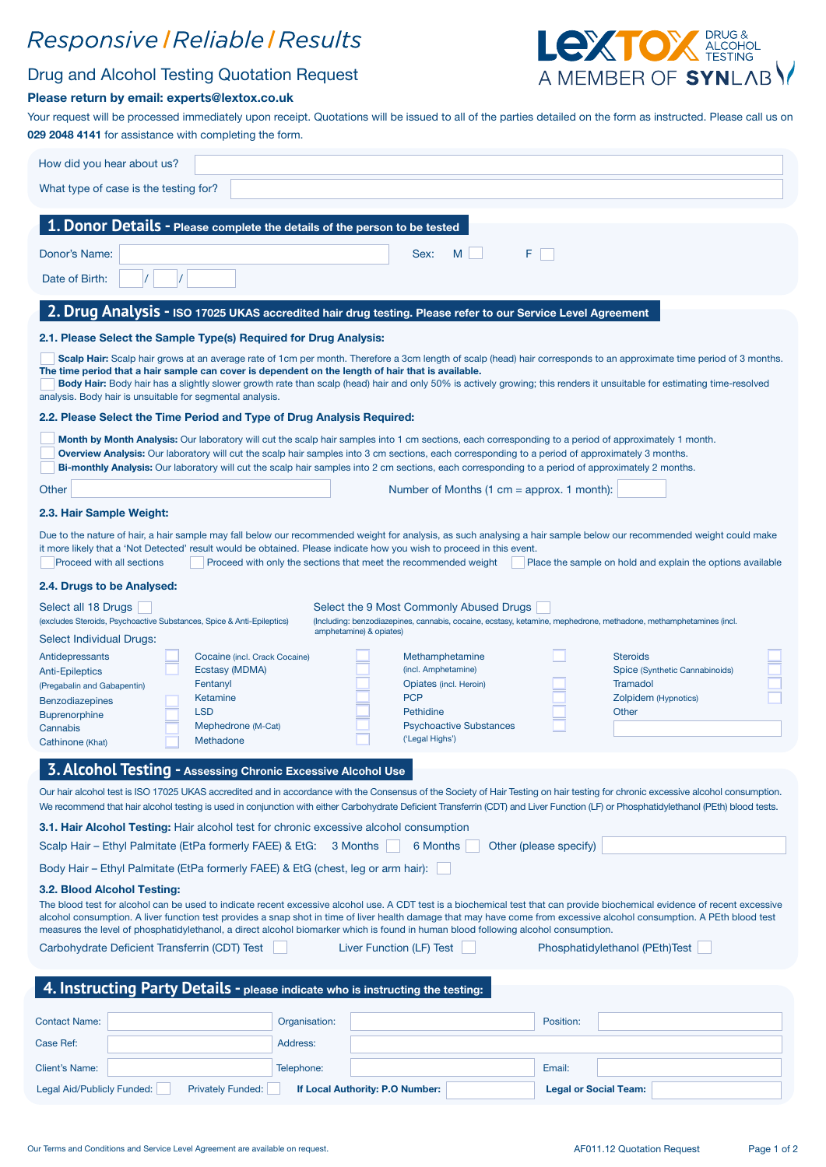# Responsive | Reliable | Results

# LeXTOX ALCOHOL A MEMBER OF SYNLABY

### Drug and Alcohol Testing Quotation Request

#### Please return by email: experts@lextox.co.uk

Your request will be processed immediately upon receipt. Quotations will be issued to all of the parties detailed on the form as instructed. Please call us on 029 2048 4141 for assistance with completing the form.

| 1. Donor Details - Please complete the details of the person to be tested<br>F.<br>Sex:<br>M<br>Date of Birth:<br>2. Drug Analysis - ISO 17025 UKAS accredited hair drug testing. Please refer to our Service Level Agreement<br>2.1. Please Select the Sample Type(s) Required for Drug Analysis:<br>Scalp Hair: Scalp hair grows at an average rate of 1cm per month. Therefore a 3cm length of scalp (head) hair corresponds to an approximate time period of 3 months.<br>Body Hair: Body hair has a slightly slower growth rate than scalp (head) hair and only 50% is actively growing; this renders it unsuitable for estimating time-resolved<br>2.2. Please Select the Time Period and Type of Drug Analysis Required:<br>Month by Month Analysis: Our laboratory will cut the scalp hair samples into 1 cm sections, each corresponding to a period of approximately 1 month.<br>Overview Analysis: Our laboratory will cut the scalp hair samples into 3 cm sections, each corresponding to a period of approximately 3 months.<br>Bi-monthly Analysis: Our laboratory will cut the scalp hair samples into 2 cm sections, each corresponding to a period of approximately 2 months.<br>Number of Months $(1 cm =$ approx. 1 month):<br>Proceed with all sections<br>Proceed with only the sections that meet the recommended weight<br>Place the sample on hold and explain the options available<br>Select the 9 Most Commonly Abused Drugs<br>(Including: benzodiazepines, cannabis, cocaine, ecstasy, ketamine, mephedrone, methadone, methamphetamines (incl.<br>amphetamine) & opiates)<br>Antidepressants<br>Cocaine (incl. Crack Cocaine)<br>Methamphetamine<br><b>Steroids</b><br>(incl. Amphetamine)<br>Ecstasy (MDMA)<br>Spice (Synthetic Cannabinoids)<br>Tramadol<br>Fentanyl<br>Opiates (incl. Heroin)<br><b>PCP</b><br>Zolpidem (Hypnotics)<br>Ketamine<br><b>Benzodiazepines</b><br><b>LSD</b><br>Pethidine<br>Other<br><b>Psychoactive Substances</b><br>Mephedrone (M-Cat)<br>('Legal Highs')<br>Methadone<br><b>3. Alcohol Testing - Assessing Chronic Excessive Alcohol Use</b><br>Our hair alcohol test is ISO 17025 UKAS accredited and in accordance with the Consensus of the Society of Hair Testing on hair testing for chronic excessive alcohol consumption.<br>We recommend that hair alcohol testing is used in conjunction with either Carbohydrate Deficient Transferrin (CDT) and Liver Function (LF) or Phosphatidylethanol (PEth) blood tests.<br>Other (please specify)<br>Scalp Hair - Ethyl Palmitate (EtPa formerly FAEE) & EtG:<br>3 Months<br>6 Months<br>Body Hair - Ethyl Palmitate (EtPa formerly FAEE) & EtG (chest, leg or arm hair):<br>3.2. Blood Alcohol Testing:<br>measures the level of phosphatidylethanol, a direct alcohol biomarker which is found in human blood following alcohol consumption.<br>Liver Function (LF) Test<br>Phosphatidylethanol (PEth)Test<br>4. Instructing Party Details - please indicate who is instructing the testing:<br>Organisation:<br>Position:<br>Address:<br>Telephone:<br>Email:<br><b>Privately Funded:</b><br><b>Legal or Social Team:</b><br>If Local Authority: P.O Number: | How did you hear about us?                                                                                                                                                                                                                                                                                                                             |  |  |  |  |  |  |  |
|--------------------------------------------------------------------------------------------------------------------------------------------------------------------------------------------------------------------------------------------------------------------------------------------------------------------------------------------------------------------------------------------------------------------------------------------------------------------------------------------------------------------------------------------------------------------------------------------------------------------------------------------------------------------------------------------------------------------------------------------------------------------------------------------------------------------------------------------------------------------------------------------------------------------------------------------------------------------------------------------------------------------------------------------------------------------------------------------------------------------------------------------------------------------------------------------------------------------------------------------------------------------------------------------------------------------------------------------------------------------------------------------------------------------------------------------------------------------------------------------------------------------------------------------------------------------------------------------------------------------------------------------------------------------------------------------------------------------------------------------------------------------------------------------------------------------------------------------------------------------------------------------------------------------------------------------------------------------------------------------------------------------------------------------------------------------------------------------------------------------------------------------------------------------------------------------------------------------------------------------------------------------------------------------------------------------------------------------------------------------------------------------------------------------------------------------------------------------------------------------------------------------------------------------------------------------------------------------------------------------------------------------------------------------------------------------------------------------------------------------------------------------------------------------------------------------------------------------------------------------------------------------------------------------------------------------------------------------------------------------------------------------------------------------------------------------------------------------------------------------------------------------------------------------------------------|--------------------------------------------------------------------------------------------------------------------------------------------------------------------------------------------------------------------------------------------------------------------------------------------------------------------------------------------------------|--|--|--|--|--|--|--|
|                                                                                                                                                                                                                                                                                                                                                                                                                                                                                                                                                                                                                                                                                                                                                                                                                                                                                                                                                                                                                                                                                                                                                                                                                                                                                                                                                                                                                                                                                                                                                                                                                                                                                                                                                                                                                                                                                                                                                                                                                                                                                                                                                                                                                                                                                                                                                                                                                                                                                                                                                                                                                                                                                                                                                                                                                                                                                                                                                                                                                                                                                                                                                                                      | What type of case is the testing for?                                                                                                                                                                                                                                                                                                                  |  |  |  |  |  |  |  |
|                                                                                                                                                                                                                                                                                                                                                                                                                                                                                                                                                                                                                                                                                                                                                                                                                                                                                                                                                                                                                                                                                                                                                                                                                                                                                                                                                                                                                                                                                                                                                                                                                                                                                                                                                                                                                                                                                                                                                                                                                                                                                                                                                                                                                                                                                                                                                                                                                                                                                                                                                                                                                                                                                                                                                                                                                                                                                                                                                                                                                                                                                                                                                                                      |                                                                                                                                                                                                                                                                                                                                                        |  |  |  |  |  |  |  |
|                                                                                                                                                                                                                                                                                                                                                                                                                                                                                                                                                                                                                                                                                                                                                                                                                                                                                                                                                                                                                                                                                                                                                                                                                                                                                                                                                                                                                                                                                                                                                                                                                                                                                                                                                                                                                                                                                                                                                                                                                                                                                                                                                                                                                                                                                                                                                                                                                                                                                                                                                                                                                                                                                                                                                                                                                                                                                                                                                                                                                                                                                                                                                                                      |                                                                                                                                                                                                                                                                                                                                                        |  |  |  |  |  |  |  |
|                                                                                                                                                                                                                                                                                                                                                                                                                                                                                                                                                                                                                                                                                                                                                                                                                                                                                                                                                                                                                                                                                                                                                                                                                                                                                                                                                                                                                                                                                                                                                                                                                                                                                                                                                                                                                                                                                                                                                                                                                                                                                                                                                                                                                                                                                                                                                                                                                                                                                                                                                                                                                                                                                                                                                                                                                                                                                                                                                                                                                                                                                                                                                                                      | Donor's Name:                                                                                                                                                                                                                                                                                                                                          |  |  |  |  |  |  |  |
|                                                                                                                                                                                                                                                                                                                                                                                                                                                                                                                                                                                                                                                                                                                                                                                                                                                                                                                                                                                                                                                                                                                                                                                                                                                                                                                                                                                                                                                                                                                                                                                                                                                                                                                                                                                                                                                                                                                                                                                                                                                                                                                                                                                                                                                                                                                                                                                                                                                                                                                                                                                                                                                                                                                                                                                                                                                                                                                                                                                                                                                                                                                                                                                      |                                                                                                                                                                                                                                                                                                                                                        |  |  |  |  |  |  |  |
|                                                                                                                                                                                                                                                                                                                                                                                                                                                                                                                                                                                                                                                                                                                                                                                                                                                                                                                                                                                                                                                                                                                                                                                                                                                                                                                                                                                                                                                                                                                                                                                                                                                                                                                                                                                                                                                                                                                                                                                                                                                                                                                                                                                                                                                                                                                                                                                                                                                                                                                                                                                                                                                                                                                                                                                                                                                                                                                                                                                                                                                                                                                                                                                      |                                                                                                                                                                                                                                                                                                                                                        |  |  |  |  |  |  |  |
|                                                                                                                                                                                                                                                                                                                                                                                                                                                                                                                                                                                                                                                                                                                                                                                                                                                                                                                                                                                                                                                                                                                                                                                                                                                                                                                                                                                                                                                                                                                                                                                                                                                                                                                                                                                                                                                                                                                                                                                                                                                                                                                                                                                                                                                                                                                                                                                                                                                                                                                                                                                                                                                                                                                                                                                                                                                                                                                                                                                                                                                                                                                                                                                      |                                                                                                                                                                                                                                                                                                                                                        |  |  |  |  |  |  |  |
|                                                                                                                                                                                                                                                                                                                                                                                                                                                                                                                                                                                                                                                                                                                                                                                                                                                                                                                                                                                                                                                                                                                                                                                                                                                                                                                                                                                                                                                                                                                                                                                                                                                                                                                                                                                                                                                                                                                                                                                                                                                                                                                                                                                                                                                                                                                                                                                                                                                                                                                                                                                                                                                                                                                                                                                                                                                                                                                                                                                                                                                                                                                                                                                      | The time period that a hair sample can cover is dependent on the length of hair that is available.<br>analysis. Body hair is unsuitable for segmental analysis.                                                                                                                                                                                        |  |  |  |  |  |  |  |
|                                                                                                                                                                                                                                                                                                                                                                                                                                                                                                                                                                                                                                                                                                                                                                                                                                                                                                                                                                                                                                                                                                                                                                                                                                                                                                                                                                                                                                                                                                                                                                                                                                                                                                                                                                                                                                                                                                                                                                                                                                                                                                                                                                                                                                                                                                                                                                                                                                                                                                                                                                                                                                                                                                                                                                                                                                                                                                                                                                                                                                                                                                                                                                                      |                                                                                                                                                                                                                                                                                                                                                        |  |  |  |  |  |  |  |
|                                                                                                                                                                                                                                                                                                                                                                                                                                                                                                                                                                                                                                                                                                                                                                                                                                                                                                                                                                                                                                                                                                                                                                                                                                                                                                                                                                                                                                                                                                                                                                                                                                                                                                                                                                                                                                                                                                                                                                                                                                                                                                                                                                                                                                                                                                                                                                                                                                                                                                                                                                                                                                                                                                                                                                                                                                                                                                                                                                                                                                                                                                                                                                                      |                                                                                                                                                                                                                                                                                                                                                        |  |  |  |  |  |  |  |
|                                                                                                                                                                                                                                                                                                                                                                                                                                                                                                                                                                                                                                                                                                                                                                                                                                                                                                                                                                                                                                                                                                                                                                                                                                                                                                                                                                                                                                                                                                                                                                                                                                                                                                                                                                                                                                                                                                                                                                                                                                                                                                                                                                                                                                                                                                                                                                                                                                                                                                                                                                                                                                                                                                                                                                                                                                                                                                                                                                                                                                                                                                                                                                                      | Other                                                                                                                                                                                                                                                                                                                                                  |  |  |  |  |  |  |  |
|                                                                                                                                                                                                                                                                                                                                                                                                                                                                                                                                                                                                                                                                                                                                                                                                                                                                                                                                                                                                                                                                                                                                                                                                                                                                                                                                                                                                                                                                                                                                                                                                                                                                                                                                                                                                                                                                                                                                                                                                                                                                                                                                                                                                                                                                                                                                                                                                                                                                                                                                                                                                                                                                                                                                                                                                                                                                                                                                                                                                                                                                                                                                                                                      | 2.3. Hair Sample Weight:                                                                                                                                                                                                                                                                                                                               |  |  |  |  |  |  |  |
|                                                                                                                                                                                                                                                                                                                                                                                                                                                                                                                                                                                                                                                                                                                                                                                                                                                                                                                                                                                                                                                                                                                                                                                                                                                                                                                                                                                                                                                                                                                                                                                                                                                                                                                                                                                                                                                                                                                                                                                                                                                                                                                                                                                                                                                                                                                                                                                                                                                                                                                                                                                                                                                                                                                                                                                                                                                                                                                                                                                                                                                                                                                                                                                      | Due to the nature of hair, a hair sample may fall below our recommended weight for analysis, as such analysing a hair sample below our recommended weight could make<br>it more likely that a 'Not Detected' result would be obtained. Please indicate how you wish to proceed in this event.                                                          |  |  |  |  |  |  |  |
|                                                                                                                                                                                                                                                                                                                                                                                                                                                                                                                                                                                                                                                                                                                                                                                                                                                                                                                                                                                                                                                                                                                                                                                                                                                                                                                                                                                                                                                                                                                                                                                                                                                                                                                                                                                                                                                                                                                                                                                                                                                                                                                                                                                                                                                                                                                                                                                                                                                                                                                                                                                                                                                                                                                                                                                                                                                                                                                                                                                                                                                                                                                                                                                      | 2.4. Drugs to be Analysed:                                                                                                                                                                                                                                                                                                                             |  |  |  |  |  |  |  |
|                                                                                                                                                                                                                                                                                                                                                                                                                                                                                                                                                                                                                                                                                                                                                                                                                                                                                                                                                                                                                                                                                                                                                                                                                                                                                                                                                                                                                                                                                                                                                                                                                                                                                                                                                                                                                                                                                                                                                                                                                                                                                                                                                                                                                                                                                                                                                                                                                                                                                                                                                                                                                                                                                                                                                                                                                                                                                                                                                                                                                                                                                                                                                                                      | Select all 18 Drugs<br>(excludes Steroids, Psychoactive Substances, Spice & Anti-Epileptics)                                                                                                                                                                                                                                                           |  |  |  |  |  |  |  |
|                                                                                                                                                                                                                                                                                                                                                                                                                                                                                                                                                                                                                                                                                                                                                                                                                                                                                                                                                                                                                                                                                                                                                                                                                                                                                                                                                                                                                                                                                                                                                                                                                                                                                                                                                                                                                                                                                                                                                                                                                                                                                                                                                                                                                                                                                                                                                                                                                                                                                                                                                                                                                                                                                                                                                                                                                                                                                                                                                                                                                                                                                                                                                                                      | Select Individual Drugs:                                                                                                                                                                                                                                                                                                                               |  |  |  |  |  |  |  |
|                                                                                                                                                                                                                                                                                                                                                                                                                                                                                                                                                                                                                                                                                                                                                                                                                                                                                                                                                                                                                                                                                                                                                                                                                                                                                                                                                                                                                                                                                                                                                                                                                                                                                                                                                                                                                                                                                                                                                                                                                                                                                                                                                                                                                                                                                                                                                                                                                                                                                                                                                                                                                                                                                                                                                                                                                                                                                                                                                                                                                                                                                                                                                                                      | <b>Anti-Epileptics</b>                                                                                                                                                                                                                                                                                                                                 |  |  |  |  |  |  |  |
|                                                                                                                                                                                                                                                                                                                                                                                                                                                                                                                                                                                                                                                                                                                                                                                                                                                                                                                                                                                                                                                                                                                                                                                                                                                                                                                                                                                                                                                                                                                                                                                                                                                                                                                                                                                                                                                                                                                                                                                                                                                                                                                                                                                                                                                                                                                                                                                                                                                                                                                                                                                                                                                                                                                                                                                                                                                                                                                                                                                                                                                                                                                                                                                      | (Pregabalin and Gabapentin)                                                                                                                                                                                                                                                                                                                            |  |  |  |  |  |  |  |
|                                                                                                                                                                                                                                                                                                                                                                                                                                                                                                                                                                                                                                                                                                                                                                                                                                                                                                                                                                                                                                                                                                                                                                                                                                                                                                                                                                                                                                                                                                                                                                                                                                                                                                                                                                                                                                                                                                                                                                                                                                                                                                                                                                                                                                                                                                                                                                                                                                                                                                                                                                                                                                                                                                                                                                                                                                                                                                                                                                                                                                                                                                                                                                                      | <b>Buprenorphine</b>                                                                                                                                                                                                                                                                                                                                   |  |  |  |  |  |  |  |
|                                                                                                                                                                                                                                                                                                                                                                                                                                                                                                                                                                                                                                                                                                                                                                                                                                                                                                                                                                                                                                                                                                                                                                                                                                                                                                                                                                                                                                                                                                                                                                                                                                                                                                                                                                                                                                                                                                                                                                                                                                                                                                                                                                                                                                                                                                                                                                                                                                                                                                                                                                                                                                                                                                                                                                                                                                                                                                                                                                                                                                                                                                                                                                                      | Cannabis<br>Cathinone (Khat)                                                                                                                                                                                                                                                                                                                           |  |  |  |  |  |  |  |
|                                                                                                                                                                                                                                                                                                                                                                                                                                                                                                                                                                                                                                                                                                                                                                                                                                                                                                                                                                                                                                                                                                                                                                                                                                                                                                                                                                                                                                                                                                                                                                                                                                                                                                                                                                                                                                                                                                                                                                                                                                                                                                                                                                                                                                                                                                                                                                                                                                                                                                                                                                                                                                                                                                                                                                                                                                                                                                                                                                                                                                                                                                                                                                                      |                                                                                                                                                                                                                                                                                                                                                        |  |  |  |  |  |  |  |
|                                                                                                                                                                                                                                                                                                                                                                                                                                                                                                                                                                                                                                                                                                                                                                                                                                                                                                                                                                                                                                                                                                                                                                                                                                                                                                                                                                                                                                                                                                                                                                                                                                                                                                                                                                                                                                                                                                                                                                                                                                                                                                                                                                                                                                                                                                                                                                                                                                                                                                                                                                                                                                                                                                                                                                                                                                                                                                                                                                                                                                                                                                                                                                                      |                                                                                                                                                                                                                                                                                                                                                        |  |  |  |  |  |  |  |
|                                                                                                                                                                                                                                                                                                                                                                                                                                                                                                                                                                                                                                                                                                                                                                                                                                                                                                                                                                                                                                                                                                                                                                                                                                                                                                                                                                                                                                                                                                                                                                                                                                                                                                                                                                                                                                                                                                                                                                                                                                                                                                                                                                                                                                                                                                                                                                                                                                                                                                                                                                                                                                                                                                                                                                                                                                                                                                                                                                                                                                                                                                                                                                                      |                                                                                                                                                                                                                                                                                                                                                        |  |  |  |  |  |  |  |
|                                                                                                                                                                                                                                                                                                                                                                                                                                                                                                                                                                                                                                                                                                                                                                                                                                                                                                                                                                                                                                                                                                                                                                                                                                                                                                                                                                                                                                                                                                                                                                                                                                                                                                                                                                                                                                                                                                                                                                                                                                                                                                                                                                                                                                                                                                                                                                                                                                                                                                                                                                                                                                                                                                                                                                                                                                                                                                                                                                                                                                                                                                                                                                                      | <b>3.1. Hair Alcohol Testing:</b> Hair alcohol test for chronic excessive alcohol consumption                                                                                                                                                                                                                                                          |  |  |  |  |  |  |  |
|                                                                                                                                                                                                                                                                                                                                                                                                                                                                                                                                                                                                                                                                                                                                                                                                                                                                                                                                                                                                                                                                                                                                                                                                                                                                                                                                                                                                                                                                                                                                                                                                                                                                                                                                                                                                                                                                                                                                                                                                                                                                                                                                                                                                                                                                                                                                                                                                                                                                                                                                                                                                                                                                                                                                                                                                                                                                                                                                                                                                                                                                                                                                                                                      |                                                                                                                                                                                                                                                                                                                                                        |  |  |  |  |  |  |  |
|                                                                                                                                                                                                                                                                                                                                                                                                                                                                                                                                                                                                                                                                                                                                                                                                                                                                                                                                                                                                                                                                                                                                                                                                                                                                                                                                                                                                                                                                                                                                                                                                                                                                                                                                                                                                                                                                                                                                                                                                                                                                                                                                                                                                                                                                                                                                                                                                                                                                                                                                                                                                                                                                                                                                                                                                                                                                                                                                                                                                                                                                                                                                                                                      |                                                                                                                                                                                                                                                                                                                                                        |  |  |  |  |  |  |  |
|                                                                                                                                                                                                                                                                                                                                                                                                                                                                                                                                                                                                                                                                                                                                                                                                                                                                                                                                                                                                                                                                                                                                                                                                                                                                                                                                                                                                                                                                                                                                                                                                                                                                                                                                                                                                                                                                                                                                                                                                                                                                                                                                                                                                                                                                                                                                                                                                                                                                                                                                                                                                                                                                                                                                                                                                                                                                                                                                                                                                                                                                                                                                                                                      | The blood test for alcohol can be used to indicate recent excessive alcohol use. A CDT test is a biochemical test that can provide biochemical evidence of recent excessive<br>alcohol consumption. A liver function test provides a snap shot in time of liver health damage that may have come from excessive alcohol consumption. A PEth blood test |  |  |  |  |  |  |  |
|                                                                                                                                                                                                                                                                                                                                                                                                                                                                                                                                                                                                                                                                                                                                                                                                                                                                                                                                                                                                                                                                                                                                                                                                                                                                                                                                                                                                                                                                                                                                                                                                                                                                                                                                                                                                                                                                                                                                                                                                                                                                                                                                                                                                                                                                                                                                                                                                                                                                                                                                                                                                                                                                                                                                                                                                                                                                                                                                                                                                                                                                                                                                                                                      | Carbohydrate Deficient Transferrin (CDT) Test                                                                                                                                                                                                                                                                                                          |  |  |  |  |  |  |  |
|                                                                                                                                                                                                                                                                                                                                                                                                                                                                                                                                                                                                                                                                                                                                                                                                                                                                                                                                                                                                                                                                                                                                                                                                                                                                                                                                                                                                                                                                                                                                                                                                                                                                                                                                                                                                                                                                                                                                                                                                                                                                                                                                                                                                                                                                                                                                                                                                                                                                                                                                                                                                                                                                                                                                                                                                                                                                                                                                                                                                                                                                                                                                                                                      |                                                                                                                                                                                                                                                                                                                                                        |  |  |  |  |  |  |  |
|                                                                                                                                                                                                                                                                                                                                                                                                                                                                                                                                                                                                                                                                                                                                                                                                                                                                                                                                                                                                                                                                                                                                                                                                                                                                                                                                                                                                                                                                                                                                                                                                                                                                                                                                                                                                                                                                                                                                                                                                                                                                                                                                                                                                                                                                                                                                                                                                                                                                                                                                                                                                                                                                                                                                                                                                                                                                                                                                                                                                                                                                                                                                                                                      |                                                                                                                                                                                                                                                                                                                                                        |  |  |  |  |  |  |  |
|                                                                                                                                                                                                                                                                                                                                                                                                                                                                                                                                                                                                                                                                                                                                                                                                                                                                                                                                                                                                                                                                                                                                                                                                                                                                                                                                                                                                                                                                                                                                                                                                                                                                                                                                                                                                                                                                                                                                                                                                                                                                                                                                                                                                                                                                                                                                                                                                                                                                                                                                                                                                                                                                                                                                                                                                                                                                                                                                                                                                                                                                                                                                                                                      | <b>Contact Name:</b>                                                                                                                                                                                                                                                                                                                                   |  |  |  |  |  |  |  |
|                                                                                                                                                                                                                                                                                                                                                                                                                                                                                                                                                                                                                                                                                                                                                                                                                                                                                                                                                                                                                                                                                                                                                                                                                                                                                                                                                                                                                                                                                                                                                                                                                                                                                                                                                                                                                                                                                                                                                                                                                                                                                                                                                                                                                                                                                                                                                                                                                                                                                                                                                                                                                                                                                                                                                                                                                                                                                                                                                                                                                                                                                                                                                                                      | Case Ref:                                                                                                                                                                                                                                                                                                                                              |  |  |  |  |  |  |  |
|                                                                                                                                                                                                                                                                                                                                                                                                                                                                                                                                                                                                                                                                                                                                                                                                                                                                                                                                                                                                                                                                                                                                                                                                                                                                                                                                                                                                                                                                                                                                                                                                                                                                                                                                                                                                                                                                                                                                                                                                                                                                                                                                                                                                                                                                                                                                                                                                                                                                                                                                                                                                                                                                                                                                                                                                                                                                                                                                                                                                                                                                                                                                                                                      | <b>Client's Name:</b>                                                                                                                                                                                                                                                                                                                                  |  |  |  |  |  |  |  |
|                                                                                                                                                                                                                                                                                                                                                                                                                                                                                                                                                                                                                                                                                                                                                                                                                                                                                                                                                                                                                                                                                                                                                                                                                                                                                                                                                                                                                                                                                                                                                                                                                                                                                                                                                                                                                                                                                                                                                                                                                                                                                                                                                                                                                                                                                                                                                                                                                                                                                                                                                                                                                                                                                                                                                                                                                                                                                                                                                                                                                                                                                                                                                                                      | Legal Aid/Publicly Funded:                                                                                                                                                                                                                                                                                                                             |  |  |  |  |  |  |  |